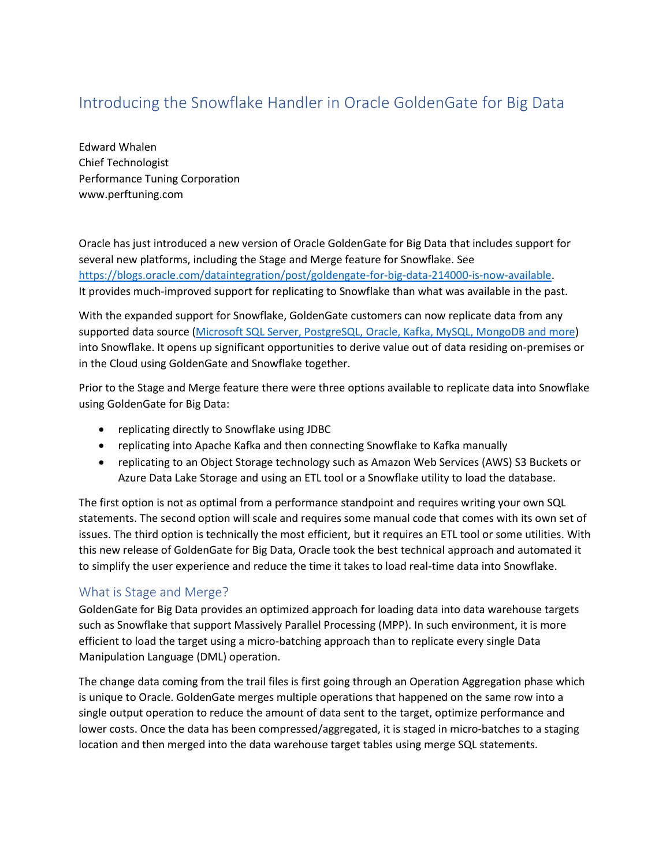# Introducing the Snowflake Handler in Oracle GoldenGate for Big Data

Edward Whalen Chief Technologist Performance Tuning Corporation www.perftuning.com

Oracle has just introduced a new version of Oracle GoldenGate for Big Data that includes support for several new platforms, including the Stage and Merge feature for Snowflake. See [https://blogs.oracle.com/dataintegration/post/goldengate-for-big-data-214000-is-now-available.](https://blogs.oracle.com/dataintegration/post/goldengate-for-big-data-214000-is-now-available) It provides much-improved support for replicating to Snowflake than what was available in the past.

With the expanded support for Snowflake, GoldenGate customers can now replicate data from any supported data source [\(Microsoft SQL Server, PostgreSQL, Oracle, Kafka, MySQL,](https://www.oracle.com/middleware/technologies/fusion-certification.html) MongoDB and more) into Snowflake. It opens up significant opportunities to derive value out of data residing on-premises or in the Cloud using GoldenGate and Snowflake together.

Prior to the Stage and Merge feature there were three options available to replicate data into Snowflake using GoldenGate for Big Data:

- replicating directly to Snowflake using JDBC
- replicating into Apache Kafka and then connecting Snowflake to Kafka manually
- replicating to an Object Storage technology such as Amazon Web Services (AWS) S3 Buckets or Azure Data Lake Storage and using an ETL tool or a Snowflake utility to load the database.

The first option is not as optimal from a performance standpoint and requires writing your own SQL statements. The second option will scale and requires some manual code that comes with its own set of issues. The third option is technically the most efficient, but it requires an ETL tool or some utilities. With this new release of GoldenGate for Big Data, Oracle took the best technical approach and automated it to simplify the user experience and reduce the time it takes to load real-time data into Snowflake.

#### What is Stage and Merge?

GoldenGate for Big Data provides an optimized approach for loading data into data warehouse targets such as Snowflake that support Massively Parallel Processing (MPP). In such environment, it is more efficient to load the target using a micro-batching approach than to replicate every single Data Manipulation Language (DML) operation.

The change data coming from the trail files is first going through an Operation Aggregation phase which is unique to Oracle. GoldenGate merges multiple operations that happened on the same row into a single output operation to reduce the amount of data sent to the target, optimize performance and lower costs. Once the data has been compressed/aggregated, it is staged in micro-batches to a staging location and then merged into the data warehouse target tables using merge SQL statements.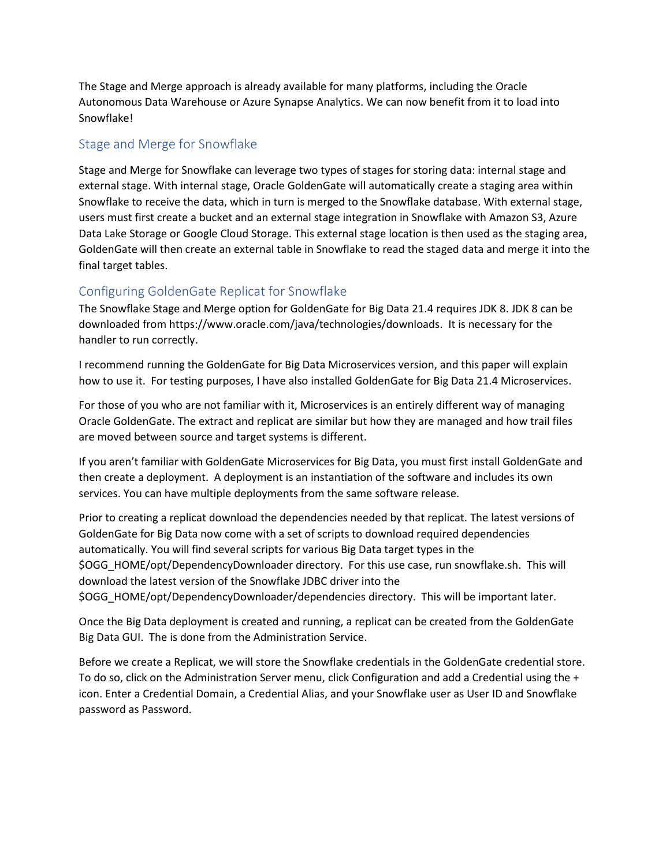The Stage and Merge approach is already available for many platforms, including the Oracle Autonomous Data Warehouse or Azure Synapse Analytics. We can now benefit from it to load into Snowflake!

### Stage and Merge for Snowflake

Stage and Merge for Snowflake can leverage two types of stages for storing data: internal stage and external stage. With internal stage, Oracle GoldenGate will automatically create a staging area within Snowflake to receive the data, which in turn is merged to the Snowflake database. With external stage, users must first create a bucket and an external stage integration in Snowflake with Amazon S3, Azure Data Lake Storage or Google Cloud Storage. This external stage location is then used as the staging area, GoldenGate will then create an external table in Snowflake to read the staged data and merge it into the final target tables.

## Configuring GoldenGate Replicat for Snowflake

The Snowflake Stage and Merge option for GoldenGate for Big Data 21.4 requires JDK 8. JDK 8 can be downloaded from https://www.oracle.com/java/technologies/downloads. It is necessary for the handler to run correctly.

I recommend running the GoldenGate for Big Data Microservices version, and this paper will explain how to use it. For testing purposes, I have also installed GoldenGate for Big Data 21.4 Microservices.

For those of you who are not familiar with it, Microservices is an entirely different way of managing Oracle GoldenGate. The extract and replicat are similar but how they are managed and how trail files are moved between source and target systems is different.

If you aren't familiar with GoldenGate Microservices for Big Data, you must first install GoldenGate and then create a deployment. A deployment is an instantiation of the software and includes its own services. You can have multiple deployments from the same software release.

Prior to creating a replicat download the dependencies needed by that replicat. The latest versions of GoldenGate for Big Data now come with a set of scripts to download required dependencies automatically. You will find several scripts for various Big Data target types in the \$OGG\_HOME/opt/DependencyDownloader directory. For this use case, run snowflake.sh. This will download the latest version of the Snowflake JDBC driver into the \$OGG\_HOME/opt/DependencyDownloader/dependencies directory. This will be important later.

Once the Big Data deployment is created and running, a replicat can be created from the GoldenGate Big Data GUI. The is done from the Administration Service.

Before we create a Replicat, we will store the Snowflake credentials in the GoldenGate credential store. To do so, click on the Administration Server menu, click Configuration and add a Credential using the + icon. Enter a Credential Domain, a Credential Alias, and your Snowflake user as User ID and Snowflake password as Password.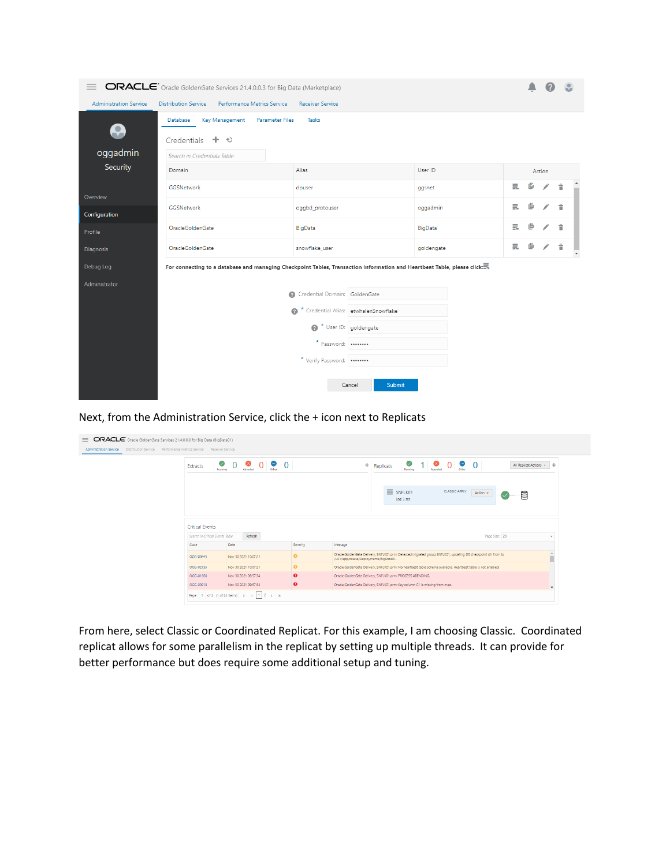

Next, from the Administration Service, click the + icon next to Replicats

| ✅<br>Extracts<br>Running | $\infty$<br>Abraded | $0 \bullet$<br>$\overline{0}$           |                                                                                              | $\frac{1}{\sqrt{2}}$<br>$1$ Abended<br>0 <sub>other</sub><br>$\mathbf{0}$<br>$+$ Replicats<br>All Replicat Actions v                                             |
|--------------------------|---------------------|-----------------------------------------|----------------------------------------------------------------------------------------------|------------------------------------------------------------------------------------------------------------------------------------------------------------------|
|                          |                     |                                         |                                                                                              |                                                                                                                                                                  |
|                          |                     |                                         |                                                                                              |                                                                                                                                                                  |
|                          |                     |                                         |                                                                                              | $\equiv$ SNFLK01<br><b>CLASSIC APPLY</b><br>Action +<br>₿<br>Lag: 3 sec                                                                                          |
|                          |                     |                                         |                                                                                              |                                                                                                                                                                  |
| <b>Critical Events</b>   |                     |                                         |                                                                                              |                                                                                                                                                                  |
|                          | Refresh             |                                         |                                                                                              | Page Size: 20<br>$\mathbf{v}$                                                                                                                                    |
| Code                     |                     |                                         | Severity                                                                                     | Message                                                                                                                                                          |
| OGG-00445                |                     |                                         | $\bullet$                                                                                    | ۸<br>Oracle GoldenGate Delivery, SNFLK01.prm: Detected migrated group SNFLK01, updating DB checkpoint dir from to<br>m<br>/u01/app/oracle/Deployments/BigData01. |
| OGG-02735                |                     |                                         | $\bullet$                                                                                    | Oracle GoldenGate Delivery, SNFLK01.prm: No heartbeat table schema available. Heartbeat table is not enabled.                                                    |
| OGG-01668                |                     |                                         | $\bullet$                                                                                    | Oracle GoldenGate Delivery, SNFLK01.prm: PROCESS ABENDING.                                                                                                       |
| OGG-00918                |                     |                                         | $\bullet$                                                                                    | Oracle GoldenGate Delivery, SNFLK01.prm: Key column C1 is missing from map.                                                                                      |
|                          |                     | Search In Critical Events Table<br>Date | Nov 30 2021 10:07:21<br>Nov 30 2021 10:07:21<br>Nov 30 2021 09:57:34<br>Nov 30 2021 09:57:34 |                                                                                                                                                                  |

From here, select Classic or Coordinated Replicat. For this example, I am choosing Classic. Coordinated replicat allows for some parallelism in the replicat by setting up multiple threads. It can provide for better performance but does require some additional setup and tuning.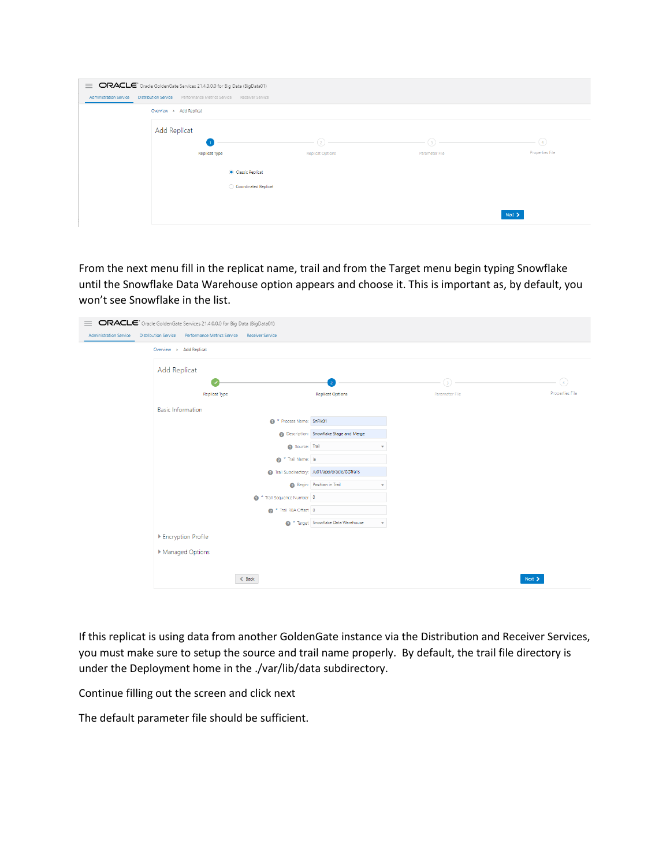| $\equiv$               | ORACLE <sup>®</sup> Oracle GoldenGate Services 21.4.0.0.0 for Big Data (BigData01) |                         |                |                              |
|------------------------|------------------------------------------------------------------------------------|-------------------------|----------------|------------------------------|
| Administration Service | Distribution Service Performance Metrics Service Receiver Service                  |                         |                |                              |
|                        | Overview > Add Replicat                                                            |                         |                |                              |
|                        | Add Replicat                                                                       |                         |                |                              |
|                        |                                                                                    | $\binom{2}{}$           | (з)            | $\left( \frac{1}{4} \right)$ |
|                        | <b>Replicat Type</b>                                                               | <b>Replicat Options</b> | Parameter File | Properties File              |
|                        | Classic Replicat                                                                   |                         |                |                              |
|                        | Coordinated Replicat                                                               |                         |                |                              |
|                        |                                                                                    |                         |                |                              |
|                        |                                                                                    |                         |                | $Next$ >                     |

From the next menu fill in the replicat name, trail and from the Target menu begin typing Snowflake until the Snowflake Data Warehouse option appears and choose it. This is important as, by default, you won't see Snowflake in the list.

| $=$                           | ORACLE <sup>®</sup> Oracle GoldenGate Services 21.4.0.0.0 for Big Data (BigData01) |                                                                         |                |                 |
|-------------------------------|------------------------------------------------------------------------------------|-------------------------------------------------------------------------|----------------|-----------------|
| <b>Administration Service</b> | Distribution Service Performance Metrics Service Receiver Service                  |                                                                         |                |                 |
|                               | Overview > Add Replicat                                                            |                                                                         |                |                 |
|                               | <b>Add Replicat</b>                                                                |                                                                         |                |                 |
|                               |                                                                                    |                                                                         | $\circ$        | $\bigcirc$      |
|                               | Replicat Type                                                                      | <b>Replicat Options</b>                                                 | Parameter File | Properties File |
|                               | <b>Basic Information</b>                                                           |                                                                         |                |                 |
|                               | <sup>*</sup> Process Name: SnFlk01                                                 |                                                                         |                |                 |
|                               |                                                                                    | Description: Snowflake Stage and Merge                                  |                |                 |
|                               | Source: Trail                                                                      |                                                                         |                |                 |
|                               | <sup>*</sup> Trail Name: la                                                        |                                                                         |                |                 |
|                               |                                                                                    | 7 Trail Subdirectory: /u01/app/oracle/GGTrails                          |                |                 |
|                               |                                                                                    | Begin: Position in Trail                                                |                |                 |
|                               | <sup>*</sup> Trail Sequence Number 0                                               |                                                                         |                |                 |
|                               | <sup>*</sup> Trail RBA Offset 0                                                    |                                                                         |                |                 |
|                               |                                                                                    | <sup>*</sup> Target Snowflake Data Warehouse<br>$\overline{\mathbf{v}}$ |                |                 |
|                               | ▶ Encryption Profile                                                               |                                                                         |                |                 |
|                               | ▶ Managed Options                                                                  |                                                                         |                |                 |
|                               |                                                                                    |                                                                         |                |                 |
|                               | $&$ Back                                                                           |                                                                         |                | Next $\geq$     |

If this replicat is using data from another GoldenGate instance via the Distribution and Receiver Services, you must make sure to setup the source and trail name properly. By default, the trail file directory is under the Deployment home in the ./var/lib/data subdirectory.

Continue filling out the screen and click next

The default parameter file should be sufficient.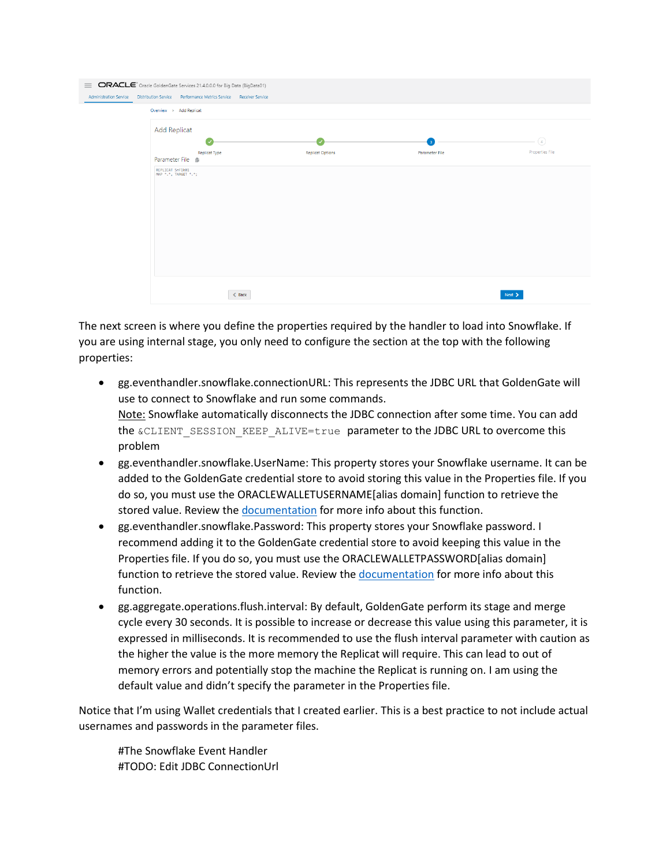| $=$<br><b>Administration Service</b> | ORACLE <sup>®</sup> Oracle GoldenGate Services 21.4.0.0.0 for Big Data (BigData01)<br>Distribution Service Performance Metrics Service Receiver Service |                         |                                |                                                       |
|--------------------------------------|---------------------------------------------------------------------------------------------------------------------------------------------------------|-------------------------|--------------------------------|-------------------------------------------------------|
|                                      | Overview > Add Replicat                                                                                                                                 |                         |                                |                                                       |
|                                      | <b>Add Replicat</b><br>Replicat Type<br>Parameter File B                                                                                                | <b>Replicat Options</b> | $\mathbf{R}$<br>Parameter File | $\left(\overline{4}\right)$<br><b>Properties File</b> |
|                                      | REPLICAT SnF1k01<br>MAP *.*, TARGET *.*;                                                                                                                |                         |                                |                                                       |
|                                      | $&$ Back                                                                                                                                                |                         |                                | Next >                                                |

The next screen is where you define the properties required by the handler to load into Snowflake. If you are using internal stage, you only need to configure the section at the top with the following properties:

- gg.eventhandler.snowflake.connectionURL: This represents the JDBC URL that GoldenGate will use to connect to Snowflake and run some commands. Note: Snowflake automatically disconnects the JDBC connection after some time. You can add the &CLIENT\_SESSION\_KEEP\_ALIVE=true parameter to the JDBC URL to overcome this problem
- gg.eventhandler.snowflake.UserName: This property stores your Snowflake username. It can be added to the GoldenGate credential store to avoid storing this value in the Properties file. If you do so, you must use the ORACLEWALLETUSERNAME[alias domain] function to retrieve the stored value. Review the [documentation](https://docs.oracle.com/en/middleware/goldengate/big-data/21.1/gadbd/introduction-oracle-goldengate-big-data.html#GUID-1ED89557-936D-4251-A2D4-B8D7A4F6694A) for more info about this function.
- gg.eventhandler.snowflake.Password: This property stores your Snowflake password. I recommend adding it to the GoldenGate credential store to avoid keeping this value in the Properties file. If you do so, you must use the ORACLEWALLETPASSWORD[alias domain] function to retrieve the stored value. Review the [documentation](https://docs.oracle.com/en/middleware/goldengate/big-data/21.1/gadbd/introduction-oracle-goldengate-big-data.html#GUID-1ED89557-936D-4251-A2D4-B8D7A4F6694A) for more info about this function.
- gg.aggregate.operations.flush.interval: By default, GoldenGate perform its stage and merge cycle every 30 seconds. It is possible to increase or decrease this value using this parameter, it is expressed in milliseconds. It is recommended to use the flush interval parameter with caution as the higher the value is the more memory the Replicat will require. This can lead to out of memory errors and potentially stop the machine the Replicat is running on. I am using the default value and didn't specify the parameter in the Properties file.

Notice that I'm using Wallet credentials that I created earlier. This is a best practice to not include actual usernames and passwords in the parameter files.

#The Snowflake Event Handler #TODO: Edit JDBC ConnectionUrl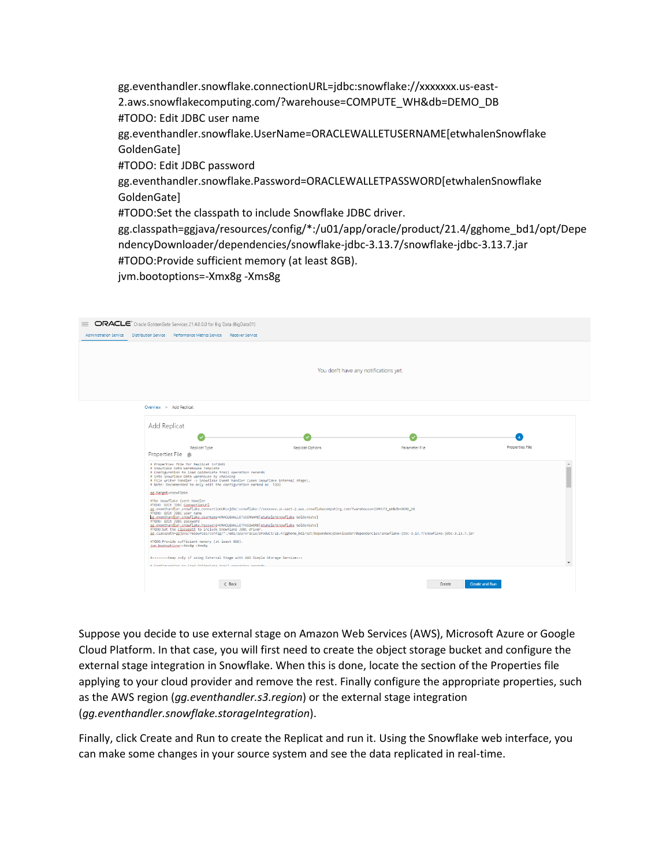gg.eventhandler.snowflake.connectionURL=jdbc:snowflake://xxxxxxx.us-east-2.aws.snowflakecomputing.com/?warehouse=COMPUTE\_WH&db=DEMO\_DB #TODO: Edit JDBC user name gg.eventhandler.snowflake.UserName=ORACLEWALLETUSERNAME[etwhalenSnowflake GoldenGate] #TODO: Edit JDBC password gg.eventhandler.snowflake.Password=ORACLEWALLETPASSWORD[etwhalenSnowflake GoldenGate] #TODO:Set the classpath to include Snowflake JDBC driver. gg.classpath=ggjava/resources/config/\*:/u01/app/oracle/product/21.4/gghome\_bd1/opt/Depe ndencyDownloader/dependencies/snowflake-jdbc-3.13.7/snowflake-jdbc-3.13.7.jar #TODO:Provide sufficient memory (at least 8GB). jvm.bootoptions=-Xmx8g -Xms8g

| <b>Administration Service</b> | ORACLE <sup>®</sup> Oracle GoldenGate Services 21.4.0.0.0 for Big Data (BigData01)<br>Distribution Service Performance Metrics Service Receiver Service                                                                                                                                                                                                                                                                                                                                                                                                                                                                                                                                                          |                                       |                |                       |
|-------------------------------|------------------------------------------------------------------------------------------------------------------------------------------------------------------------------------------------------------------------------------------------------------------------------------------------------------------------------------------------------------------------------------------------------------------------------------------------------------------------------------------------------------------------------------------------------------------------------------------------------------------------------------------------------------------------------------------------------------------|---------------------------------------|----------------|-----------------------|
|                               |                                                                                                                                                                                                                                                                                                                                                                                                                                                                                                                                                                                                                                                                                                                  | You don't have any notifications yet. |                |                       |
|                               | Overview > Add Replicat                                                                                                                                                                                                                                                                                                                                                                                                                                                                                                                                                                                                                                                                                          |                                       |                |                       |
|                               | Add Replicat                                                                                                                                                                                                                                                                                                                                                                                                                                                                                                                                                                                                                                                                                                     |                                       |                |                       |
|                               | Replicat Type<br>Properties File <sup>®</sup>                                                                                                                                                                                                                                                                                                                                                                                                                                                                                                                                                                                                                                                                    | Replicat Options                      | Parameter File | Properties File       |
|                               | # Properties file for Replicat SnFlk01<br># Snowflake Data Warehouse Template<br># Configuration to load GoldenGate trail operation records<br># into Snowflake Data warehouse by chaining<br># File writer handler -> Snowflake Event handler (uses Snowflake internal stage).<br># Note: Recommended to only edit the configuration marked as TODO                                                                                                                                                                                                                                                                                                                                                             |                                       |                |                       |
|                               | gg,target=snowflake<br>#The Snowflake Event Handler<br>#T0D0: Edit JDBC ConnectionUrl<br>gg.eventhandler.snowflake.connectionURL=jdbc:snowflake://xxxxxx.us-east-2.aws.snowflakecomputing.com/?warehouse=COMPUTE_WH&db=DEMO_DB<br>#TODO: Edit JDBC user name<br>gg.eventhandler.snowflake.UserName=ORACLEWALLETUSERNAME[gtwhalenSnowflake GoldenGate]<br>#TODO: Edit JDBC password<br>gg.eventhandler.snowflake.Password=ORACLEWALLETPASSWORD[etwhalenSnowflake GoldenGate]<br>#TODO:Set the classpath to include Snowflake JDBC driver.<br>gg.classpath=ggjava/resources/config/*:/u01/app/oracle/product/21.4/gghome_bd1/opt/DependencyDownloader/dependencies/snowflake-jdbc-3.13.7/snowflake-jdbc-3.13.7.jar |                                       |                |                       |
|                               | #TODO:Provide sufficient memory (at least 8GB).<br>jym.bootoptions = - Xmx8g - Xms8g                                                                                                                                                                                                                                                                                                                                                                                                                                                                                                                                                                                                                             |                                       |                |                       |
|                               | #--------Keep only if using External Stage with AWS Simple Storage Service---<br># Configuration to load GoldanGate teall enanation nacende                                                                                                                                                                                                                                                                                                                                                                                                                                                                                                                                                                      |                                       |                |                       |
|                               | < Back                                                                                                                                                                                                                                                                                                                                                                                                                                                                                                                                                                                                                                                                                                           |                                       | Create         | <b>Create and Run</b> |

Suppose you decide to use external stage on Amazon Web Services (AWS), Microsoft Azure or Google Cloud Platform. In that case, you will first need to create the object storage bucket and configure the external stage integration in Snowflake. When this is done, locate the section of the Properties file applying to your cloud provider and remove the rest. Finally configure the appropriate properties, such as the AWS region (*gg.eventhandler.s3.region*) or the external stage integration (*gg.eventhandler.snowflake.storageIntegration*).

Finally, click Create and Run to create the Replicat and run it. Using the Snowflake web interface, you can make some changes in your source system and see the data replicated in real-time.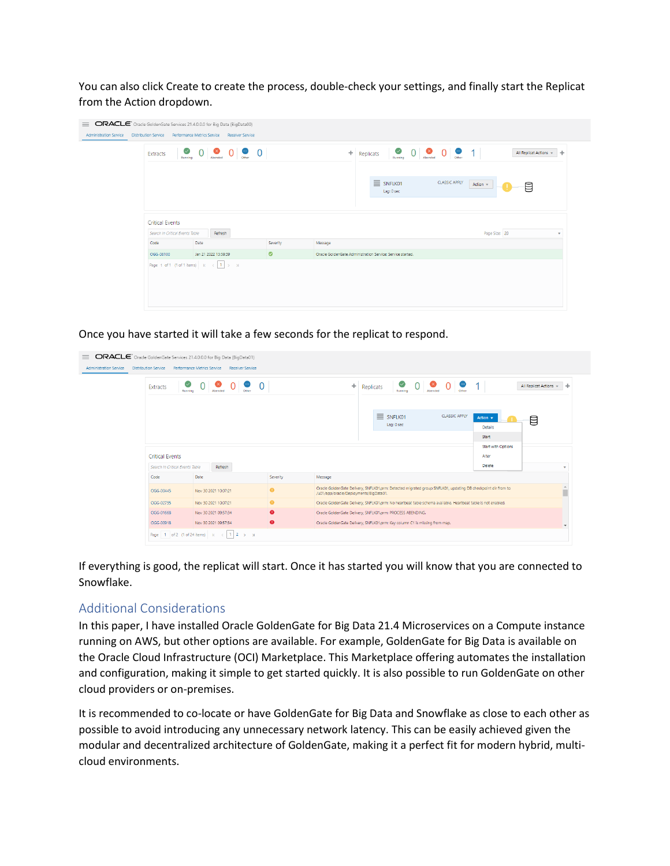You can also click Create to create the process, double-check your settings, and finally start the Replicat from the Action dropdown.

| Extracts               | $\circ$ 0 $\circ$ 0 $\circ$ 0 $\circ$ 0         |                      |                                                                         | $+$ .   | Running <b>O</b> Abended <b>O</b> Other<br>Replicats<br>Running |                                |                      | 1 <sup>1</sup> | All Replicat Actions v<br>÷ |  |
|------------------------|-------------------------------------------------|----------------------|-------------------------------------------------------------------------|---------|-----------------------------------------------------------------|--------------------------------|----------------------|----------------|-----------------------------|--|
|                        |                                                 |                      |                                                                         |         |                                                                 | $\equiv$ SNFLK01<br>Lag: 0 sec | <b>CLASSIC APPLY</b> | Action +       | ₿                           |  |
| <b>Critical Events</b> | Search In Critical Events Table                 | Refresh              |                                                                         |         |                                                                 |                                | Page Size: 20        |                | $\mathbf{v}$                |  |
| Code                   | Date                                            |                      | Severity                                                                | Message |                                                                 |                                |                      |                |                             |  |
| OGG-08100              |                                                 | Jan 21 2022 13:59:39 | $\bullet$<br>Oracle GoldenGate Administration Service: Service started. |         |                                                                 |                                |                      |                |                             |  |
|                        | Page 1 of 1 (1 of 1 items) $K \times \{1\}$ > 3 |                      |                                                                         |         |                                                                 |                                |                      |                |                             |  |

Once you have started it will take a few seconds for the replicat to respond.

| ORACLE <sup>®</sup> Oracle GoldenGate Services 21.4.0.0.0 for Big Data (BigData01)<br>$\equiv$<br><b>Administration Service</b> | Distribution Service Performance Metrics Service Receiver Service |                                     |                        |           |                                                                                                                                                        |  |                           |                                                         |                                       |   |  |
|---------------------------------------------------------------------------------------------------------------------------------|-------------------------------------------------------------------|-------------------------------------|------------------------|-----------|--------------------------------------------------------------------------------------------------------------------------------------------------------|--|---------------------------|---------------------------------------------------------|---------------------------------------|---|--|
|                                                                                                                                 | $\bm{\triangledown}$<br>Extracts<br>Running                       | ☎<br>Abended                        | $\Omega$               | ÷         |                                                                                                                                                        |  | ⊘<br>Replicats<br>Running | $\bullet$<br>$\Omega$<br>$\mathbf{0}^+$<br>●<br>Abended | All Replicat Actions v                |   |  |
|                                                                                                                                 |                                                                   |                                     |                        |           |                                                                                                                                                        |  |                           |                                                         |                                       |   |  |
|                                                                                                                                 |                                                                   |                                     |                        |           |                                                                                                                                                        |  |                           | <b>CLASSIC APPLY</b>                                    | Action $\mathbf{v}$<br><b>Details</b> | ₿ |  |
|                                                                                                                                 |                                                                   |                                     |                        |           |                                                                                                                                                        |  |                           |                                                         | Start<br><b>Start with Options</b>    |   |  |
|                                                                                                                                 | <b>Critical Events</b>                                            |                                     |                        |           |                                                                                                                                                        |  |                           |                                                         | Alter                                 |   |  |
|                                                                                                                                 | Search In Critical Events Table                                   | Refresh                             |                        |           |                                                                                                                                                        |  |                           |                                                         | <b>Delete</b>                         |   |  |
|                                                                                                                                 | Code                                                              | Date                                |                        | Severity  | Message                                                                                                                                                |  |                           |                                                         |                                       |   |  |
|                                                                                                                                 | OGG-00445                                                         | Nov 30 2021 10:07:21                |                        | $\bullet$ | Oracle GoldenGate Delivery, SNFLK01.prm: Detected migrated group SNFLK01, updating DB checkpoint dir from to<br>/u01/app/oracle/Deployments/BigData01. |  |                           |                                                         |                                       |   |  |
|                                                                                                                                 | OGG-02735                                                         | Nov 30 2021 10:07:21                |                        | $\bullet$ | Oracle GoldenGate Delivery, SNFLK01.prm: No heartbeat table schema available. Heartbeat table is not enabled.                                          |  |                           |                                                         |                                       |   |  |
|                                                                                                                                 | OGG-01668                                                         | Nov 30 2021 09:57:34                |                        | $\bullet$ | Oracle GoldenGate Delivery, SNFLK01.prm: PROCESS ABENDING.                                                                                             |  |                           |                                                         |                                       |   |  |
|                                                                                                                                 | OGG-00918                                                         | Nov 30 2021 09:57:34                |                        | $\bullet$ | Oracle GoldenGate Delivery, SNFLK01.prm: Key column C1 is missing from map.                                                                            |  |                           |                                                         |                                       |   |  |
|                                                                                                                                 |                                                                   | Page 1 of 2 (1 of 24 items) $K <$ 1 | $2 \rightarrow \times$ |           |                                                                                                                                                        |  |                           |                                                         |                                       |   |  |

If everything is good, the replicat will start. Once it has started you will know that you are connected to Snowflake.

#### Additional Considerations

In this paper, I have installed Oracle GoldenGate for Big Data 21.4 Microservices on a Compute instance running on AWS, but other options are available. For example, GoldenGate for Big Data is available on the Oracle Cloud Infrastructure (OCI) Marketplace. This Marketplace offering automates the installation and configuration, making it simple to get started quickly. It is also possible to run GoldenGate on other cloud providers or on-premises.

It is recommended to co-locate or have GoldenGate for Big Data and Snowflake as close to each other as possible to avoid introducing any unnecessary network latency. This can be easily achieved given the modular and decentralized architecture of GoldenGate, making it a perfect fit for modern hybrid, multicloud environments.